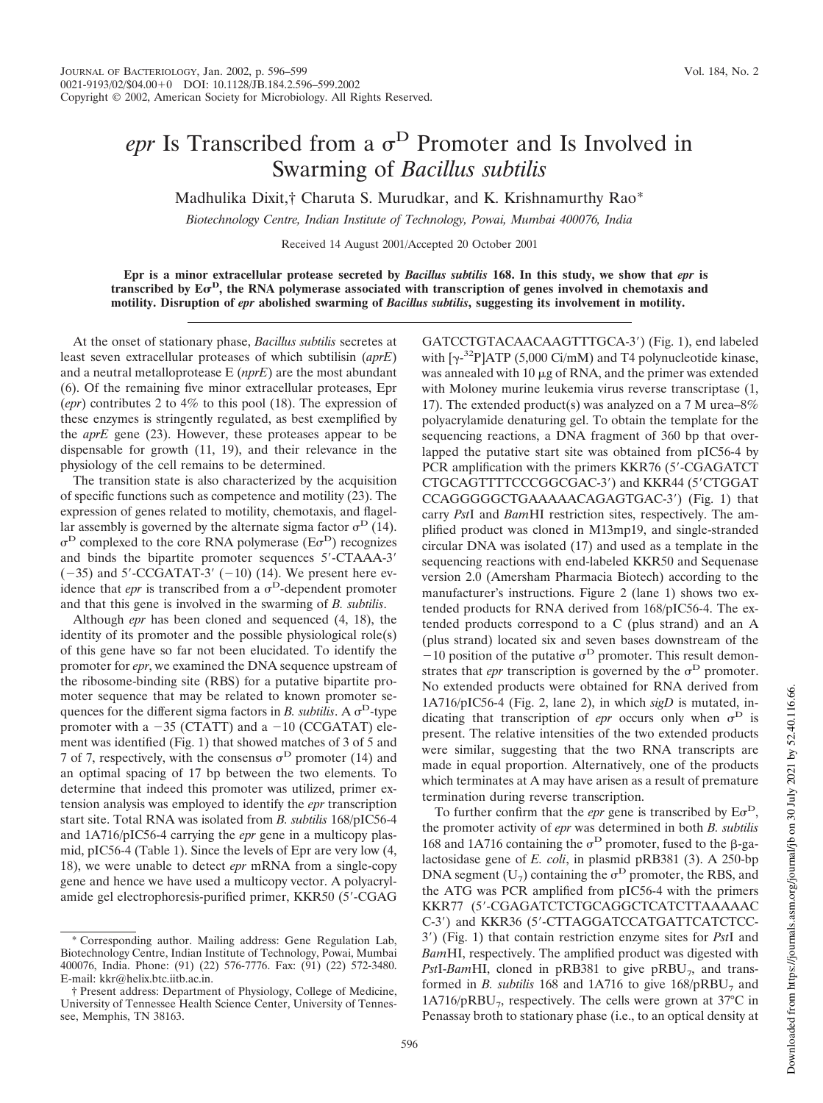## *epr* Is Transcribed from a  $\sigma^D$  Promoter and Is Involved in Swarming of *Bacillus subtilis*

Madhulika Dixit,† Charuta S. Murudkar, and K. Krishnamurthy Rao\*

*Biotechnology Centre, Indian Institute of Technology, Powai, Mumbai 400076, India*

Received 14 August 2001/Accepted 20 October 2001

**Epr is a minor extracellular protease secreted by** *Bacillus subtilis* **168. In this study, we show that** *epr* **is transcribed by E D , the RNA polymerase associated with transcription of genes involved in chemotaxis and motility. Disruption of** *epr* **abolished swarming of** *Bacillus subtilis***, suggesting its involvement in motility.**

At the onset of stationary phase, *Bacillus subtilis* secretes at least seven extracellular proteases of which subtilisin (*aprE*) and a neutral metalloprotease E (*nprE*) are the most abundant (6). Of the remaining five minor extracellular proteases, Epr (*epr*) contributes 2 to 4% to this pool (18). The expression of these enzymes is stringently regulated, as best exemplified by the *aprE* gene (23). However, these proteases appear to be dispensable for growth (11, 19), and their relevance in the physiology of the cell remains to be determined.

The transition state is also characterized by the acquisition of specific functions such as competence and motility (23). The expression of genes related to motility, chemotaxis, and flagellar assembly is governed by the alternate sigma factor  $\sigma^D$  (14).  $\sigma^D$  complexed to the core RNA polymerase ( $E\sigma^D$ ) recognizes and binds the bipartite promoter sequences 5-CTAAA-3  $(-35)$  and 5'-CCGATAT-3'  $(-10)$  (14). We present here evidence that *epr* is transcribed from a  $\sigma^D$ -dependent promoter and that this gene is involved in the swarming of *B. subtilis*.

Although *epr* has been cloned and sequenced (4, 18), the identity of its promoter and the possible physiological role(s) of this gene have so far not been elucidated. To identify the promoter for *epr*, we examined the DNA sequence upstream of the ribosome-binding site (RBS) for a putative bipartite promoter sequence that may be related to known promoter sequences for the different sigma factors in *B*. *subtilis*. A  $\sigma^D$ -type promoter with a  $-35$  (CTATT) and a  $-10$  (CCGATAT) element was identified (Fig. 1) that showed matches of 3 of 5 and 7 of 7, respectively, with the consensus  $\sigma^D$  promoter (14) and an optimal spacing of 17 bp between the two elements. To determine that indeed this promoter was utilized, primer extension analysis was employed to identify the *epr* transcription start site. Total RNA was isolated from *B. subtilis* 168/pIC56-4 and 1A716/pIC56-4 carrying the *epr* gene in a multicopy plasmid, pIC56-4 (Table 1). Since the levels of Epr are very low (4, 18), we were unable to detect *epr* mRNA from a single-copy gene and hence we have used a multicopy vector. A polyacrylamide gel electrophoresis-purified primer, KKR50 (5-CGAG GATCCTGTACAACAAGTTTGCA-3) (Fig. 1), end labeled with  $[\gamma^{-32}P]ATP$  (5,000 Ci/mM) and T4 polynucleotide kinase, was annealed with  $10 \mu$ g of RNA, and the primer was extended with Moloney murine leukemia virus reverse transcriptase (1, 17). The extended product(s) was analyzed on a 7 M urea–8% polyacrylamide denaturing gel. To obtain the template for the sequencing reactions, a DNA fragment of 360 bp that overlapped the putative start site was obtained from pIC56-4 by PCR amplification with the primers KKR76 (5'-CGAGATCT) CTGCAGTTTTCCCGGCGAC-3') and KKR44 (5'CTGGAT CCAGGGGGCTGAAAAACAGAGTGAC-3) (Fig. 1) that carry *Pst*I and *Bam*HI restriction sites, respectively. The amplified product was cloned in M13mp19, and single-stranded circular DNA was isolated (17) and used as a template in the sequencing reactions with end-labeled KKR50 and Sequenase version 2.0 (Amersham Pharmacia Biotech) according to the manufacturer's instructions. Figure 2 (lane 1) shows two extended products for RNA derived from 168/pIC56-4. The extended products correspond to a C (plus strand) and an A (plus strand) located six and seven bases downstream of the  $-10$  position of the putative  $\sigma^D$  promoter. This result demonstrates that *epr* transcription is governed by the  $\sigma^D$  promoter. No extended products were obtained for RNA derived from 1A716/pIC56-4 (Fig. 2, lane 2), in which *sigD* is mutated, indicating that transcription of *epr* occurs only when  $\sigma^D$  is present. The relative intensities of the two extended products were similar, suggesting that the two RNA transcripts are made in equal proportion. Alternatively, one of the products which terminates at A may have arisen as a result of premature termination during reverse transcription.

To further confirm that the *epr* gene is transcribed by  $E\sigma^D$ , the promoter activity of *epr* was determined in both *B. subtilis* 168 and 1A716 containing the  $\sigma^D$  promoter, fused to the  $\beta$ -galactosidase gene of *E. coli*, in plasmid pRB381 (3). A 250-bp DNA segment ( $U_7$ ) containing the  $\sigma^D$  promoter, the RBS, and the ATG was PCR amplified from pIC56-4 with the primers KKR77 (5-CGAGATCTCTGCAGGCTCATCTTAAAAAC C-3) and KKR36 (5-CTTAGGATCCATGATTCATCTCC-3) (Fig. 1) that contain restriction enzyme sites for *Pst*I and *Bam*HI, respectively. The amplified product was digested with *PstI-BamHI*, cloned in pRB381 to give pRBU<sub>7</sub>, and transformed in *B. subtilis* 168 and  $1A716$  to give  $168/pRBU<sub>7</sub>$  and 1A716/pRBU<sub>7</sub>, respectively. The cells were grown at 37°C in Penassay broth to stationary phase (i.e., to an optical density at

<sup>\*</sup> Corresponding author. Mailing address: Gene Regulation Lab, Biotechnology Centre, Indian Institute of Technology, Powai, Mumbai 400076, India. Phone: (91) (22) 576-7776. Fax: (91) (22) 572-3480. E-mail: kkr@helix.btc.iitb.ac.in.

<sup>†</sup> Present address: Department of Physiology, College of Medicine, University of Tennessee Health Science Center, University of Tennessee, Memphis, TN 38163.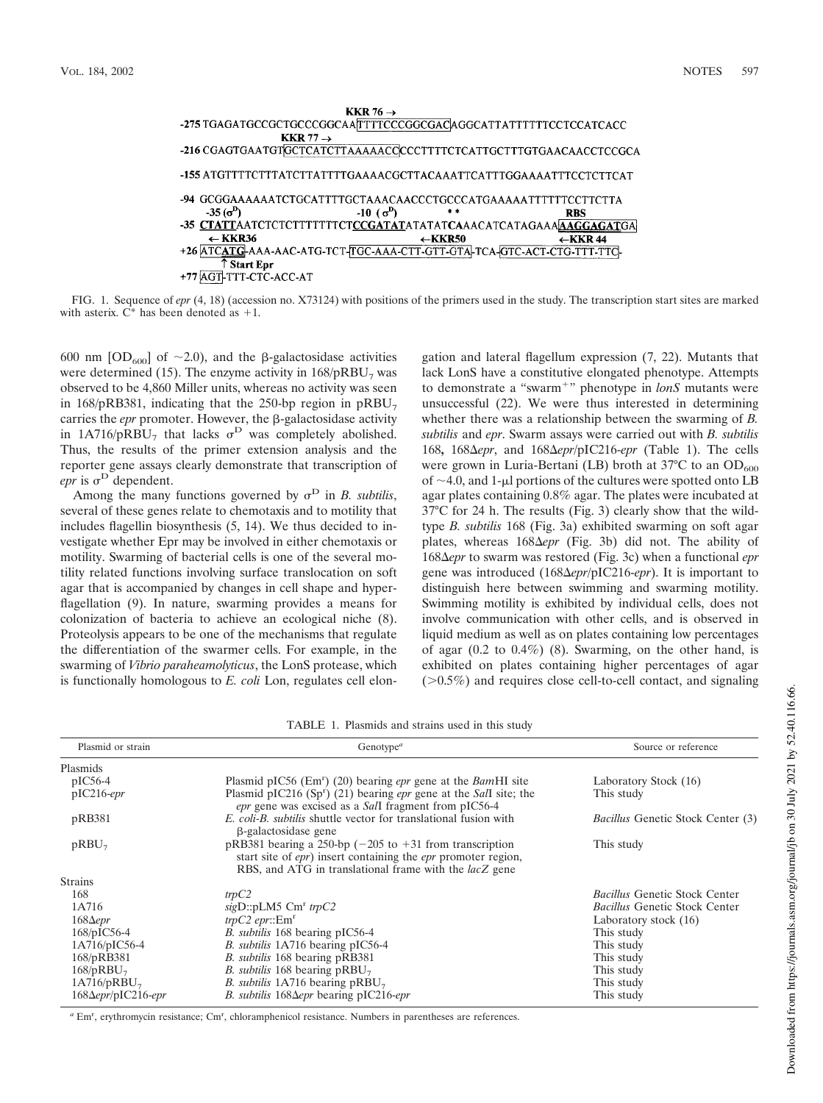

FIG. 1. Sequence of *epr* (4, 18) (accession no. X73124) with positions of the primers used in the study. The transcription start sites are marked with asterix.  $\ddot{C}^*$  has been denoted as +1.

600 nm  $[OD_{600}]$  of  $\sim$ 2.0), and the  $\beta$ -galactosidase activities were determined (15). The enzyme activity in  $168/pRBU<sub>7</sub>$  was observed to be 4,860 Miller units, whereas no activity was seen in 168/pRB381, indicating that the 250-bp region in  $pRBU_7$ carries the *epr* promoter. However, the  $\beta$ -galactosidase activity in 1A716/pRBU<sub>7</sub> that lacks  $\sigma^D$  was completely abolished. Thus, the results of the primer extension analysis and the reporter gene assays clearly demonstrate that transcription of  $e$ *epr* is  $\sigma^D$  dependent.

Among the many functions governed by  $\sigma^D$  in *B. subtilis*, several of these genes relate to chemotaxis and to motility that includes flagellin biosynthesis (5, 14). We thus decided to investigate whether Epr may be involved in either chemotaxis or motility. Swarming of bacterial cells is one of the several motility related functions involving surface translocation on soft agar that is accompanied by changes in cell shape and hyperflagellation (9). In nature, swarming provides a means for colonization of bacteria to achieve an ecological niche (8). Proteolysis appears to be one of the mechanisms that regulate the differentiation of the swarmer cells. For example, in the swarming of *Vibrio paraheamolyticus*, the LonS protease, which is functionally homologous to *E. coli* Lon, regulates cell elongation and lateral flagellum expression (7, 22). Mutants that lack LonS have a constitutive elongated phenotype. Attempts to demonstrate a "swarm " phenotype in *lonS* mutants were unsuccessful (22). We were thus interested in determining whether there was a relationship between the swarming of *B. subtilis* and *epr*. Swarm assays were carried out with *B. subtilis* 168**,** 168 *epr*, and 168 *epr*/pIC216-*epr* (Table 1). The cells were grown in Luria-Bertani (LB) broth at  $37^{\circ}$ C to an OD<sub>600</sub> of  $\sim$ 4.0, and 1-µl portions of the cultures were spotted onto LB agar plates containing 0.8% agar. The plates were incubated at 37°C for 24 h. The results (Fig. 3) clearly show that the wildtype *B. subtilis* 168 (Fig. 3a) exhibited swarming on soft agar plates, whereas 168 $\Delta e$ *pr* (Fig. 3b) did not. The ability of 168 *epr* to swarm was restored (Fig. 3c) when a functional *epr* gene was introduced (168 *epr*/pIC216-*epr*). It is important to distinguish here between swimming and swarming motility. Swimming motility is exhibited by individual cells, does not involve communication with other cells, and is observed in liquid medium as well as on plates containing low percentages of agar  $(0.2 \text{ to } 0.4\%)$  (8). Swarming, on the other hand, is exhibited on plates containing higher percentages of agar ( 0.5%) and requires close cell-to-cell contact, and signaling

| TABLE 1. Plasmids and strains used in this study |  |  |  |  |
|--------------------------------------------------|--|--|--|--|
|--------------------------------------------------|--|--|--|--|

| Plasmid or strain           | Genotype <sup><math>a</math></sup>                                                                                                                                                                           | Source or reference                      |  |
|-----------------------------|--------------------------------------------------------------------------------------------------------------------------------------------------------------------------------------------------------------|------------------------------------------|--|
| Plasmids                    |                                                                                                                                                                                                              |                                          |  |
| $pIC56-4$                   | Plasmid pIC56 ( $Emr$ ) (20) bearing <i>epr</i> gene at the <i>Bam</i> HI site                                                                                                                               | Laboratory Stock (16)                    |  |
| $pIC216-epr$                | Plasmid pIC216 (Sp <sup>r</sup> ) (21) bearing <i>epr</i> gene at the <i>SalI</i> site; the<br>epr gene was excised as a Sall fragment from pIC56-4                                                          | This study                               |  |
| pRB381                      | E. coli-B. subtilis shuttle vector for translational fusion with<br>β-galactosidase gene                                                                                                                     | <i>Bacillus</i> Genetic Stock Center (3) |  |
| $pRBU_7$                    | pRB381 bearing a 250-bp $(-205$ to $+31$ from transcription<br>start site of <i>epr</i> ) insert containing the <i>epr</i> promoter region,<br>RBS, and ATG in translational frame with the <i>lacZ</i> gene | This study                               |  |
| <b>Strains</b>              |                                                                                                                                                                                                              |                                          |  |
| 168                         | trpC2                                                                                                                                                                                                        | <i>Bacillus</i> Genetic Stock Center     |  |
| 1A716                       | $sigD::pLM5$ $Cmr$ trp $C2$                                                                                                                                                                                  | <b>Bacillus Genetic Stock Center</b>     |  |
| $168\Delta e$ pr            | $trpC2$ epr:: $Emr$                                                                                                                                                                                          | Laboratory stock (16)                    |  |
| $168/pIC56-4$               | <i>B. subtilis</i> 168 bearing pIC56-4                                                                                                                                                                       | This study                               |  |
| $1A716/pIC56-4$             | B. subtilis 1A716 bearing pIC56-4                                                                                                                                                                            | This study                               |  |
| 168/pRB381                  | B. subtilis 168 bearing pRB381                                                                                                                                                                               | This study                               |  |
| $168$ /pRBU <sub>7</sub>    | <i>B. subtilis</i> 168 bearing $pRBU_7$                                                                                                                                                                      | This study                               |  |
| 1A716/pRBU <sub>7</sub>     | <i>B. subtilis</i> 1A716 bearing $pRBU_7$                                                                                                                                                                    | This study                               |  |
| $168\Delta epr$ /pIC216-epr | B. subtilis $168\Delta epr$ bearing pIC216-epr                                                                                                                                                               | This study                               |  |

a Em<sup>r</sup>, erythromycin resistance; Cm<sup>r</sup>, chloramphenicol resistance. Numbers in parentheses are references.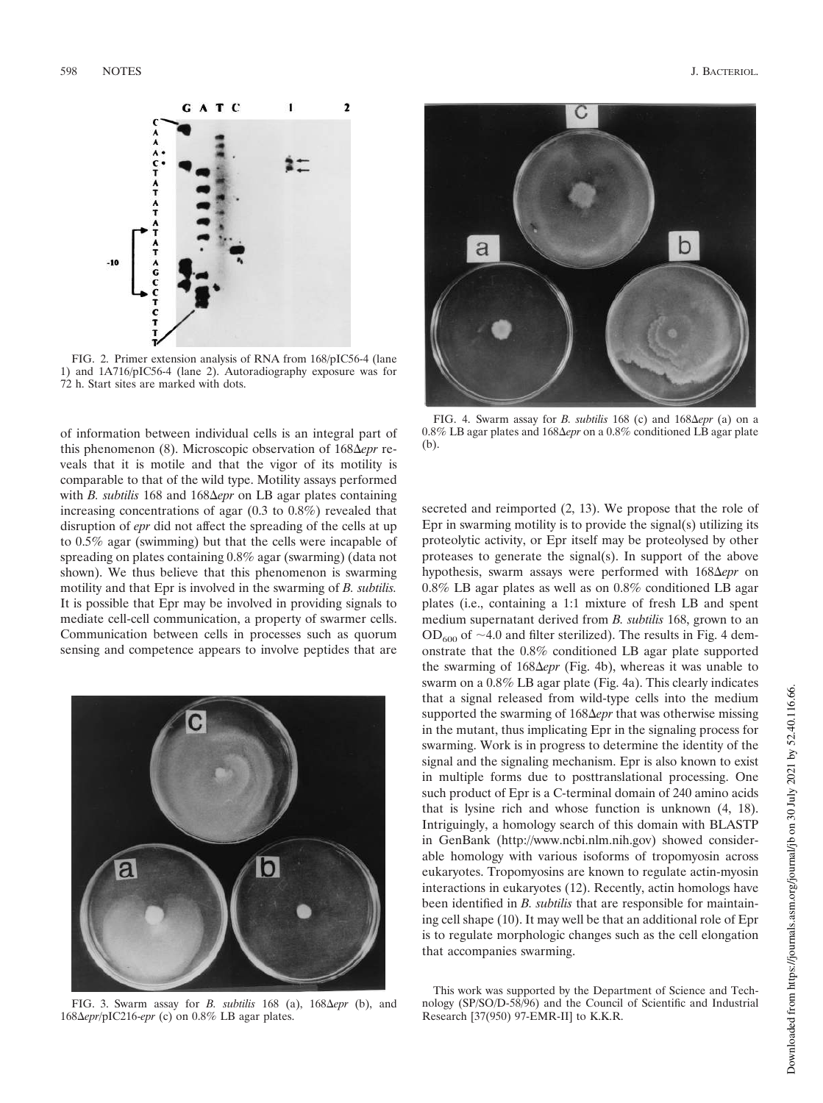

FIG. 2. Primer extension analysis of RNA from 168/pIC56-4 (lane 1) and 1A716/pIC56-4 (lane 2). Autoradiography exposure was for 72 h. Start sites are marked with dots.

of information between individual cells is an integral part of this phenomenon (8). Microscopic observation of 168 $\Delta$ *epr* reveals that it is motile and that the vigor of its motility is comparable to that of the wild type. Motility assays performed with *B. subtilis* 168 and 168 *epr* on LB agar plates containing increasing concentrations of agar (0.3 to 0.8%) revealed that disruption of *epr* did not affect the spreading of the cells at up to 0.5% agar (swimming) but that the cells were incapable of spreading on plates containing 0.8% agar (swarming) (data not shown). We thus believe that this phenomenon is swarming motility and that Epr is involved in the swarming of *B. subtilis.* It is possible that Epr may be involved in providing signals to mediate cell-cell communication, a property of swarmer cells. Communication between cells in processes such as quorum sensing and competence appears to involve peptides that are



FIG. 3. Swarm assay for *B. subtilis* 168 (a),  $168\Delta e$ *pr* (b), and 168 *epr*/pIC216-*epr* (c) on 0.8% LB agar plates.



FIG. 4. Swarm assay for *B. subtilis* 168 (c) and  $168\Delta e$ *pr* (a) on a 0.8% LB agar plates and 168 *epr* on a 0.8% conditioned LB agar plate (b).

secreted and reimported (2, 13). We propose that the role of Epr in swarming motility is to provide the signal(s) utilizing its proteolytic activity, or Epr itself may be proteolysed by other proteases to generate the signal(s). In support of the above hypothesis, swarm assays were performed with 168 $\Delta e$ *pr* on 0.8% LB agar plates as well as on 0.8% conditioned LB agar plates (i.e., containing a 1:1 mixture of fresh LB and spent medium supernatant derived from *B. subtilis* 168, grown to an  $OD_{600}$  of  $~1.0$  and filter sterilized). The results in Fig. 4 demonstrate that the 0.8% conditioned LB agar plate supported the swarming of 168Δepr (Fig. 4b), whereas it was unable to swarm on a 0.8% LB agar plate (Fig. 4a). This clearly indicates that a signal released from wild-type cells into the medium supported the swarming of 168 $\Delta$ *epr* that was otherwise missing in the mutant, thus implicating Epr in the signaling process for swarming. Work is in progress to determine the identity of the signal and the signaling mechanism. Epr is also known to exist in multiple forms due to posttranslational processing. One such product of Epr is a C-terminal domain of 240 amino acids that is lysine rich and whose function is unknown (4, 18). Intriguingly, a homology search of this domain with BLASTP in GenBank (http://www.ncbi.nlm.nih.gov) showed considerable homology with various isoforms of tropomyosin across eukaryotes. Tropomyosins are known to regulate actin-myosin interactions in eukaryotes (12). Recently, actin homologs have been identified in *B. subtilis* that are responsible for maintaining cell shape (10). It may well be that an additional role of Epr is to regulate morphologic changes such as the cell elongation that accompanies swarming.

## This work was supported by the Department of Science and Technology (SP/SO/D-58/96) and the Council of Scientific and Industrial Research [37(950) 97-EMR-II] to K.K.R.